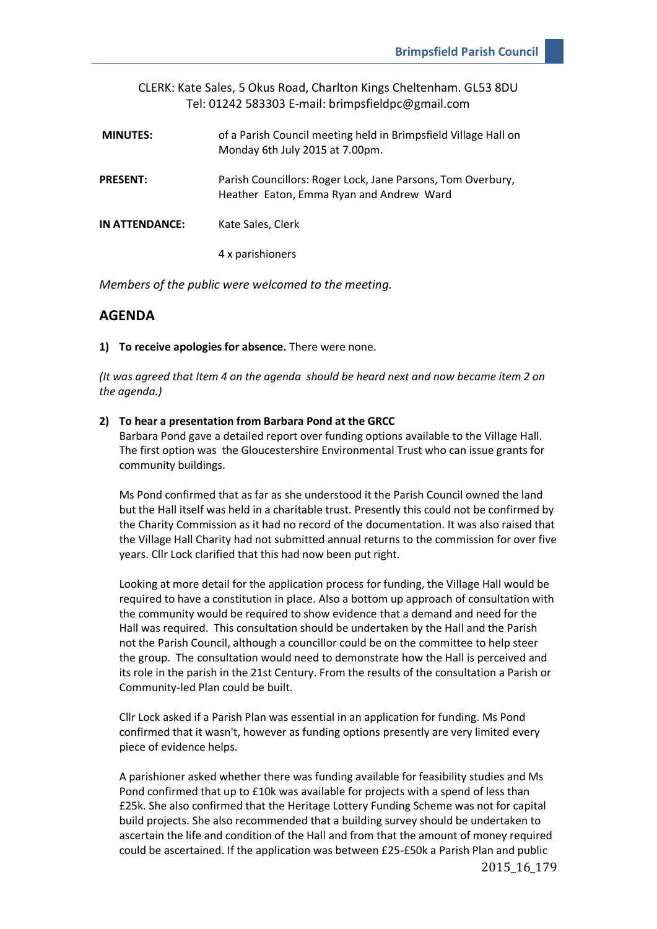|                 | CLERK: Kate Sales, 5 Okus Road, Charlton Kings Cheltenham. GL53 8DU<br>Tel: 01242 583303 E-mail: brimpsfieldpc@gmail.com |
|-----------------|--------------------------------------------------------------------------------------------------------------------------|
| <b>MINUTES:</b> | of a Parish Council meeting held in Brimpsfield Village Hall on<br>Monday 6th July 2015 at 7.00pm.                       |
| <b>PRESENT:</b> | Parish Councillors: Roger Lock, Jane Parsons, Tom Overbury,<br>Heather Eaton, Emma Ryan and Andrew Ward                  |
| IN ATTENDANCE:  | Kate Sales, Clerk                                                                                                        |
|                 | 4 x parishioners                                                                                                         |

*Members of the public were welcomed to the meeting.*

# **AGENDA**

**1) To receive apologies for absence.** There were none.

*(It was agreed that Item 4 on the agenda should be heard next and now became item 2 on the agenda.)* 

#### **2) To hear a presentation from Barbara Pond at the GRCC**

Barbara Pond gave a detailed report over funding options available to the Village Hall. The first option was the Gloucestershire Environmental Trust who can issue grants for community buildings.

Ms Pond confirmed that as far as she understood it the Parish Council owned the land but the Hall itself was held in a charitable trust. Presently this could not be confirmed by the Charity Commission as it had no record of the documentation. It was also raised that the Village Hall Charity had not submitted annual returns to the commission for over five years. Cllr Lock clarified that this had now been put right.

Looking at more detail for the application process for funding, the Village Hall would be required to have a constitution in place. Also a bottom up approach of consultation with the community would be required to show evidence that a demand and need for the Hall was required. This consultation should be undertaken by the Hall and the Parish not the Parish Council, although a councillor could be on the committee to help steer the group. The consultation would need to demonstrate how the Hall is perceived and its role in the parish in the 21st Century. From the results of the consultation a Parish or Community-led Plan could be built.

Cllr Lock asked if a Parish Plan was essential in an application for funding. Ms Pond confirmed that it wasn't, however as funding options presently are very limited every piece of evidence helps.

A parishioner asked whether there was funding available for feasibility studies and Ms Pond confirmed that up to £10k was available for projects with a spend of less than £25k. She also confirmed that the Heritage Lottery Funding Scheme was not for capital build projects. She also recommended that a building survey should be undertaken to ascertain the life and condition of the Hall and from that the amount of money required could be ascertained. If the application was between £25-£50k a Parish Plan and public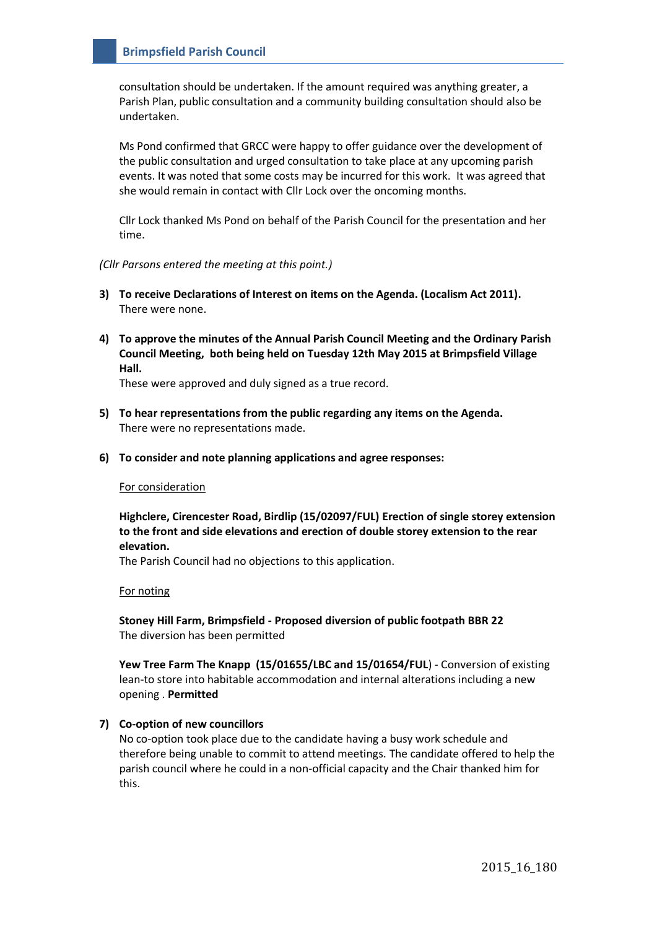consultation should be undertaken. If the amount required was anything greater, a Parish Plan, public consultation and a community building consultation should also be undertaken.

Ms Pond confirmed that GRCC were happy to offer guidance over the development of the public consultation and urged consultation to take place at any upcoming parish events. It was noted that some costs may be incurred for this work. It was agreed that she would remain in contact with Cllr Lock over the oncoming months.

Cllr Lock thanked Ms Pond on behalf of the Parish Council for the presentation and her time.

*(Cllr Parsons entered the meeting at this point.)*

- **3) To receive Declarations of Interest on items on the Agenda. (Localism Act 2011).** There were none.
- **4) To approve the minutes of the Annual Parish Council Meeting and the Ordinary Parish Council Meeting, both being held on Tuesday 12th May 2015 at Brimpsfield Village Hall.**

These were approved and duly signed as a true record.

- **5) To hear representations from the public regarding any items on the Agenda.** There were no representations made.
- **6) To consider and note planning applications and agree responses:**

#### For consideration

**Highclere, Cirencester Road, Birdlip (15/02097/FUL) Erection of single storey extension to the front and side elevations and erection of double storey extension to the rear elevation.**

The Parish Council had no objections to this application.

#### For noting

**Stoney Hill Farm, Brimpsfield - Proposed diversion of public footpath BBR 22**  The diversion has been permitted

**Yew Tree Farm The Knapp (15/01655/LBC and 15/01654/FUL**) - Conversion of existing lean-to store into habitable accommodation and internal alterations including a new opening . **Permitted**

### **7) Co-option of new councillors**

No co-option took place due to the candidate having a busy work schedule and therefore being unable to commit to attend meetings. The candidate offered to help the parish council where he could in a non-official capacity and the Chair thanked him for this.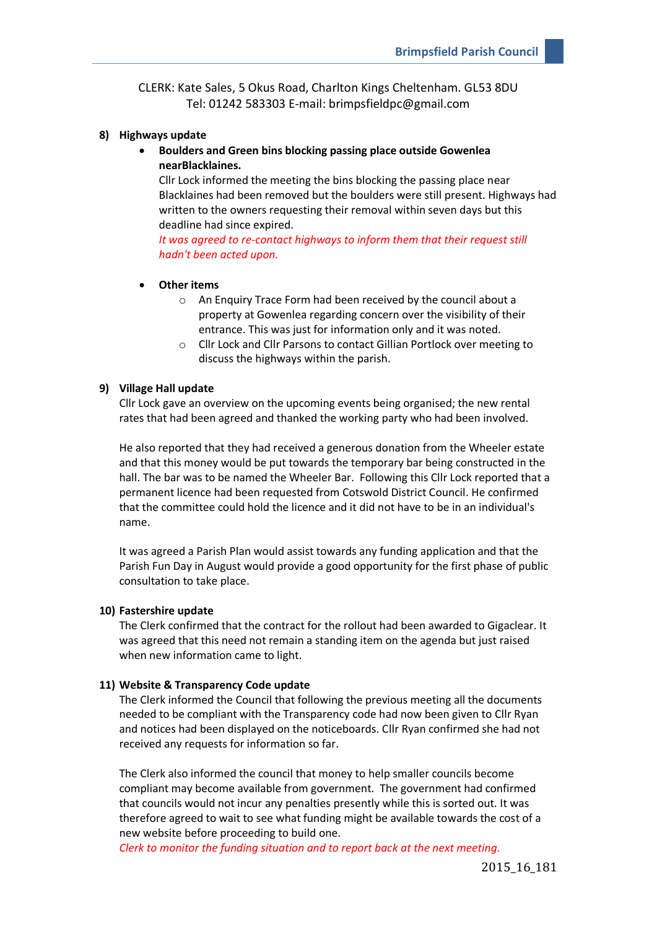CLERK: Kate Sales, 5 Okus Road, Charlton Kings Cheltenham. GL53 8DU Tel: 01242 583303 E-mail: brimpsfieldpc@gmail.com

### **8) Highways update**

# **Boulders and Green bins blocking passing place outside Gowenlea nearBlacklaines.**

Cllr Lock informed the meeting the bins blocking the passing place near Blacklaines had been removed but the boulders were still present. Highways had written to the owners requesting their removal within seven days but this deadline had since expired.

*It was agreed to re-contact highways to inform them that their request still hadn't been acted upon.* 

### **Other items**

- o An Enquiry Trace Form had been received by the council about a property at Gowenlea regarding concern over the visibility of their entrance. This was just for information only and it was noted.
- o Cllr Lock and Cllr Parsons to contact Gillian Portlock over meeting to discuss the highways within the parish.

### **9) Village Hall update**

Cllr Lock gave an overview on the upcoming events being organised; the new rental rates that had been agreed and thanked the working party who had been involved.

He also reported that they had received a generous donation from the Wheeler estate and that this money would be put towards the temporary bar being constructed in the hall. The bar was to be named the Wheeler Bar. Following this Cllr Lock reported that a permanent licence had been requested from Cotswold District Council. He confirmed that the committee could hold the licence and it did not have to be in an individual's name.

It was agreed a Parish Plan would assist towards any funding application and that the Parish Fun Day in August would provide a good opportunity for the first phase of public consultation to take place.

### **10) Fastershire update**

The Clerk confirmed that the contract for the rollout had been awarded to Gigaclear. It was agreed that this need not remain a standing item on the agenda but just raised when new information came to light.

### **11) Website & Transparency Code update**

The Clerk informed the Council that following the previous meeting all the documents needed to be compliant with the Transparency code had now been given to Cllr Ryan and notices had been displayed on the noticeboards. Cllr Ryan confirmed she had not received any requests for information so far.

The Clerk also informed the council that money to help smaller councils become compliant may become available from government. The government had confirmed that councils would not incur any penalties presently while this is sorted out. It was therefore agreed to wait to see what funding might be available towards the cost of a new website before proceeding to build one.

*Clerk to monitor the funding situation and to report back at the next meeting.*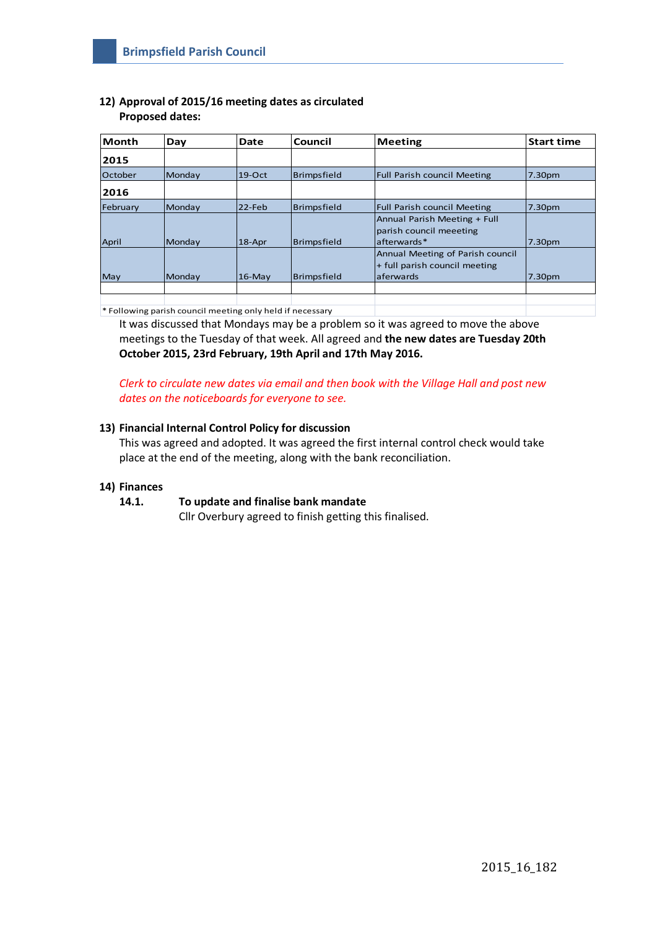# **12) Approval of 2015/16 meeting dates as circulated Proposed dates:**

| <b>Month</b> | Day    | Date       | Council     | Meeting                                                                         | <b>Start time</b>  |
|--------------|--------|------------|-------------|---------------------------------------------------------------------------------|--------------------|
| 2015         |        |            |             |                                                                                 |                    |
| October      | Mondav | $19$ -Oct  | Brimpsfield | <b>Full Parish council Meeting</b>                                              | 7.30pm             |
| 2016         |        |            |             |                                                                                 |                    |
| February     | Monday | $22$ -Feb  | Brimpsfield | <b>Full Parish council Meeting</b>                                              | 7.30 <sub>pm</sub> |
| April        | Monday | $18 - Apr$ | Brimpsfield | Annual Parish Meeting + Full<br>parish council meeeting<br>lafterwards*         | 7.30pm             |
| May          | Monday | $16$ -May  | Brimpsfield | Annual Meeting of Parish council<br>+ full parish council meeting<br>laferwards | 7.30pm             |
|              |        |            |             |                                                                                 |                    |
|              |        |            |             |                                                                                 |                    |

\* Following parish council meeting only held if necessary

It was discussed that Mondays may be a problem so it was agreed to move the above meetings to the Tuesday of that week. All agreed and **the new dates are Tuesday 20th October 2015, 23rd February, 19th April and 17th May 2016.**

*Clerk to circulate new dates via email and then book with the Village Hall and post new dates on the noticeboards for everyone to see.*

# **13) Financial Internal Control Policy for discussion**

This was agreed and adopted. It was agreed the first internal control check would take place at the end of the meeting, along with the bank reconciliation.

# **14) Finances**

# **14.1. To update and finalise bank mandate**

Cllr Overbury agreed to finish getting this finalised.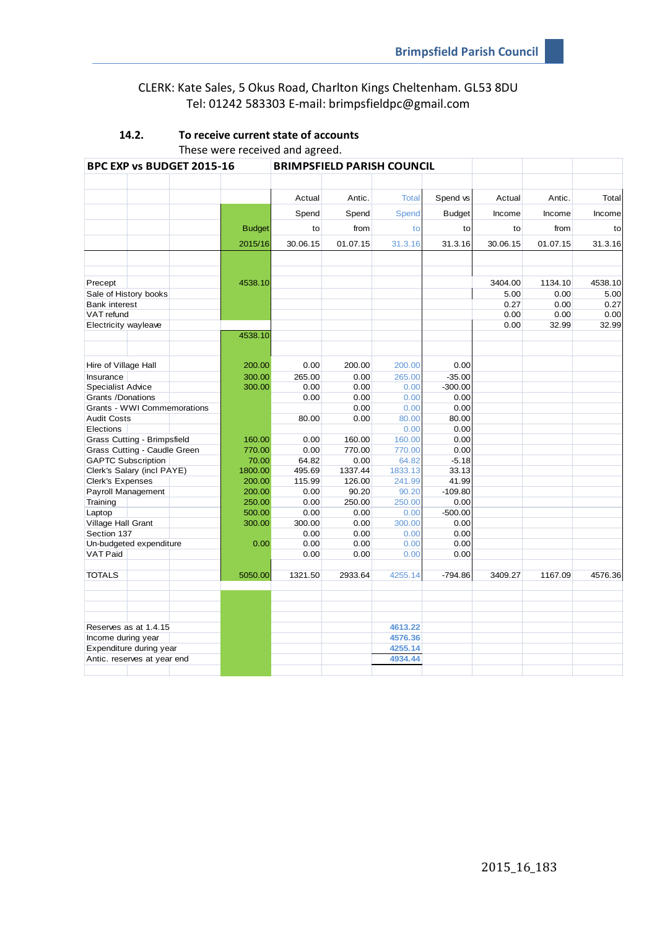# CLERK: Kate Sales, 5 Okus Road, Charlton Kings Cheltenham. GL53 8DU Tel: 01242 583303 E-mail: brimpsfieldpc@gmail.com

| BPC EXP vs BUDGET 2015-16 |                              |  | <b>BRIMPSFIELD PARISH COUNCIL</b> |          |          |              |               |          |          |         |
|---------------------------|------------------------------|--|-----------------------------------|----------|----------|--------------|---------------|----------|----------|---------|
|                           |                              |  |                                   |          |          |              |               |          |          |         |
|                           |                              |  |                                   | Actual   | Antic.   | <b>Total</b> | Spend vs      | Actual   | Antic.   | Total   |
|                           |                              |  |                                   | Spend    | Spend    | Spend        | <b>Budget</b> | Income   | Income   | Income  |
|                           |                              |  | <b>Budget</b>                     | to       | from     | to           | to            | to       | from     | to      |
|                           |                              |  | 2015/16                           | 30.06.15 | 01.07.15 | 31.3.16      | 31.3.16       | 30.06.15 | 01.07.15 | 31.3.16 |
|                           |                              |  |                                   |          |          |              |               |          |          |         |
|                           |                              |  |                                   |          |          |              |               |          |          |         |
| Precept                   |                              |  | 4538.10                           |          |          |              |               | 3404.00  | 1134.10  | 4538.10 |
|                           | Sale of History books        |  |                                   |          |          |              |               | 5.00     | 0.00     | 5.00    |
| <b>Bank interest</b>      |                              |  |                                   |          |          |              |               | 0.27     | 0.00     | 0.27    |
| VAT refund                |                              |  |                                   |          |          |              |               | 0.00     | 0.00     | 0.00    |
| Electricity wayleave      |                              |  |                                   |          |          |              |               | 0.00     | 32.99    | 32.99   |
|                           |                              |  | 4538.10                           |          |          |              |               |          |          |         |
|                           |                              |  |                                   |          |          |              |               |          |          |         |
| Hire of Village Hall      |                              |  | 200.00                            | 0.00     | 200.00   | 200.00       | 0.00          |          |          |         |
| Insurance                 |                              |  | 300.00                            | 265.00   | 0.00     | 265.00       | $-35.00$      |          |          |         |
| <b>Specialist Advice</b>  |                              |  | 300.00                            | 0.00     | 0.00     | 0.00         | $-300.00$     |          |          |         |
| Grants /Donations         |                              |  |                                   | 0.00     | 0.00     | 0.00         | 0.00          |          |          |         |
|                           | Grants - WWI Commemorations  |  |                                   |          | 0.00     | 0.00         | 0.00          |          |          |         |
| <b>Audit Costs</b>        |                              |  |                                   | 80.00    | 0.00     | 80.00        | 80.00         |          |          |         |
| Elections                 |                              |  |                                   |          |          | 0.00         | 0.00          |          |          |         |
|                           | Grass Cutting - Brimpsfield  |  | 160.00                            | 0.00     | 160.00   | 160.00       | 0.00          |          |          |         |
|                           | Grass Cutting - Caudle Green |  | 770.00                            | 0.00     | 770.00   | 770.00       | 0.00          |          |          |         |
|                           | <b>GAPTC Subscription</b>    |  | 70.00                             | 64.82    | 0.00     | 64.82        | $-5.18$       |          |          |         |
|                           | Clerk's Salary (incl PAYE)   |  | 1800.00                           | 495.69   | 1337.44  | 1833.13      | 33.13         |          |          |         |
| Clerk's Expenses          |                              |  | 200.00                            | 115.99   | 126.00   | 241.99       | 41.99         |          |          |         |
|                           | Payroll Management           |  | 200.00                            | 0.00     | 90.20    | 90.20        | $-109.80$     |          |          |         |
| Training                  |                              |  | 250.00                            | 0.00     | 250.00   | 250.00       | 0.00          |          |          |         |
| Laptop                    |                              |  | 500.00                            | 0.00     | 0.00     | 0.00         | $-500.00$     |          |          |         |
| Village Hall Grant        |                              |  | 300.00                            | 300.00   | 0.00     | 300.00       | 0.00          |          |          |         |
| Section 137               |                              |  |                                   | 0.00     | 0.00     | 0.00         | 0.00          |          |          |         |
|                           | Un-budgeted expenditure      |  | 0.00                              | 0.00     | 0.00     | 0.00         | 0.00          |          |          |         |
| <b>VAT Paid</b>           |                              |  |                                   | 0.00     | 0.00     | 0.00         | 0.00          |          |          |         |
|                           |                              |  |                                   |          |          |              |               |          |          |         |
| <b>TOTALS</b>             |                              |  | 5050.00                           | 1321.50  | 2933.64  | 4255.14      | $-794.86$     | 3409.27  | 1167.09  | 4576.36 |
|                           |                              |  |                                   |          |          |              |               |          |          |         |
|                           | Reserves as at 1.4.15        |  |                                   |          |          | 4613.22      |               |          |          |         |
| Income during year        |                              |  |                                   |          |          | 4576.36      |               |          |          |         |
|                           | Expenditure during year      |  |                                   |          |          | 4255.14      |               |          |          |         |
|                           | Antic. reserves at year end  |  |                                   |          |          | 4934.44      |               |          |          |         |
|                           |                              |  |                                   |          |          |              |               |          |          |         |

# **14.2. To receive current state of accounts** These were received and agreed.